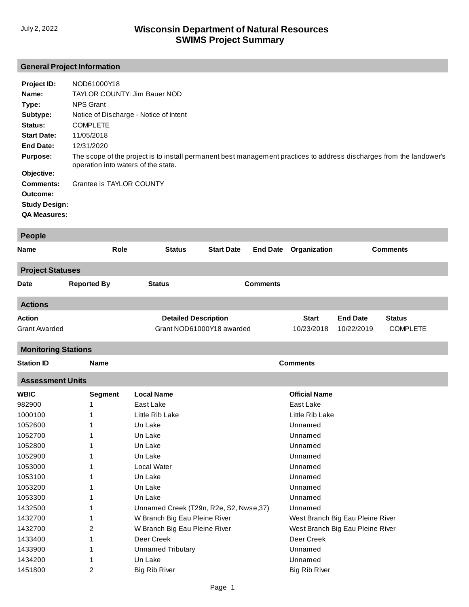# **General Project Information**

| Project ID:          | NOD61000Y18                                                                                                                                                 |
|----------------------|-------------------------------------------------------------------------------------------------------------------------------------------------------------|
| Name:                | TAYLOR COUNTY: Jim Bauer NOD                                                                                                                                |
| Type:                | <b>NPS Grant</b>                                                                                                                                            |
| Subtype:             | Notice of Discharge - Notice of Intent                                                                                                                      |
| Status:              | <b>COMPLETE</b>                                                                                                                                             |
| <b>Start Date:</b>   | 11/05/2018                                                                                                                                                  |
| End Date:            | 12/31/2020                                                                                                                                                  |
| <b>Purpose:</b>      | The scope of the project is to install permanent best management practices to address discharges from the landower's<br>operation into waters of the state. |
| Objective:           |                                                                                                                                                             |
| Comments:            | Grantee is TAYLOR COUNTY                                                                                                                                    |
| Outcome:             |                                                                                                                                                             |
| <b>Study Design:</b> |                                                                                                                                                             |
| <b>QA Measures:</b>  |                                                                                                                                                             |
|                      |                                                                                                                                                             |

| <b>People</b>              |                    |                                         |                   |                 |                      |                                  |                 |
|----------------------------|--------------------|-----------------------------------------|-------------------|-----------------|----------------------|----------------------------------|-----------------|
| <b>Name</b>                | <b>Role</b>        | <b>Status</b>                           | <b>Start Date</b> | <b>End Date</b> | Organization         |                                  | <b>Comments</b> |
| <b>Project Statuses</b>    |                    |                                         |                   |                 |                      |                                  |                 |
| <b>Date</b>                | <b>Reported By</b> | <b>Status</b>                           |                   | <b>Comments</b> |                      |                                  |                 |
| <b>Actions</b>             |                    |                                         |                   |                 |                      |                                  |                 |
| <b>Action</b>              |                    | <b>Detailed Description</b>             |                   |                 | Start                | <b>End Date</b>                  | <b>Status</b>   |
| <b>Grant Awarded</b>       |                    | Grant NOD61000Y18 awarded               |                   |                 | 10/23/2018           | 10/22/2019                       | <b>COMPLETE</b> |
| <b>Monitoring Stations</b> |                    |                                         |                   |                 |                      |                                  |                 |
| <b>Station ID</b>          | <b>Name</b>        |                                         |                   |                 | <b>Comments</b>      |                                  |                 |
| <b>Assessment Units</b>    |                    |                                         |                   |                 |                      |                                  |                 |
| <b>WBIC</b>                | <b>Segment</b>     | <b>Local Name</b>                       |                   |                 | <b>Official Name</b> |                                  |                 |
| 982900                     | 1                  | East Lake                               |                   |                 | East Lake            |                                  |                 |
| 1000100                    | 1                  | Little Rib Lake                         |                   |                 | Little Rib Lake      |                                  |                 |
| 1052600                    | 1                  | Un Lake                                 |                   |                 | Unnamed              |                                  |                 |
| 1052700                    | 1                  | Un Lake                                 |                   |                 | Unnamed              |                                  |                 |
| 1052800                    | 1                  | Un Lake                                 |                   |                 | Unnamed              |                                  |                 |
| 1052900                    | 1                  | Un Lake                                 |                   |                 | Unnamed              |                                  |                 |
| 1053000                    | 1                  | <b>Local Water</b>                      |                   |                 | Unnamed              |                                  |                 |
| 1053100                    |                    | Un Lake                                 |                   |                 | Unnamed              |                                  |                 |
| 1053200                    | 1                  | Un Lake                                 |                   |                 | Unnamed              |                                  |                 |
| 1053300                    | 1                  | Un Lake                                 |                   |                 | Unnamed              |                                  |                 |
| 1432500                    | 1                  | Unnamed Creek (T29n, R2e, S2, Nwse, 37) |                   |                 | Unnamed              |                                  |                 |
| 1432700                    | 1                  | W Branch Big Eau Pleine River           |                   |                 |                      | West Branch Big Eau Pleine River |                 |
| 1432700                    | $\overline{2}$     | W Branch Big Eau Pleine River           |                   |                 |                      | West Branch Big Eau Pleine River |                 |
| 1433400                    | 1                  | Deer Creek                              |                   |                 | Deer Creek           |                                  |                 |
| 1433900                    | 1                  | <b>Unnamed Tributary</b>                |                   |                 | Unnamed              |                                  |                 |
| 1434200                    | 1                  | Un Lake                                 |                   |                 | Unnamed              |                                  |                 |
| 1451800                    | $\overline{2}$     | <b>Big Rib River</b>                    |                   |                 | <b>Big Rib River</b> |                                  |                 |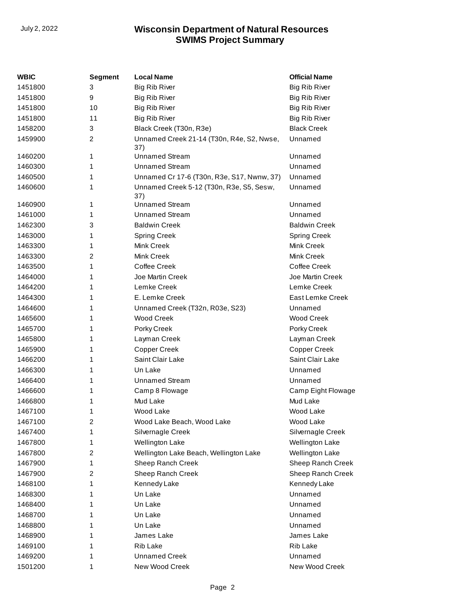| WBIC    | Segment        | <b>Local Name</b>                                | <b>Official Name</b>   |
|---------|----------------|--------------------------------------------------|------------------------|
| 1451800 | 3              | <b>Big Rib River</b>                             | <b>Big Rib River</b>   |
| 1451800 | 9              | Big Rib River                                    | Big Rib River          |
| 1451800 | 10             | <b>Big Rib River</b>                             | <b>Big Rib River</b>   |
| 1451800 | 11             | <b>Big Rib River</b>                             | <b>Big Rib River</b>   |
| 1458200 | 3              | Black Creek (T30n, R3e)                          | <b>Black Creek</b>     |
| 1459900 | 2              | Unnamed Creek 21-14 (T30n, R4e, S2, Nwse,<br>37) | Unnamed                |
| 1460200 | 1              | <b>Unnamed Stream</b>                            | Unnamed                |
| 1460300 | 1              | <b>Unnamed Stream</b>                            | Unnamed                |
| 1460500 | 1              | Unnamed Cr 17-6 (T30n, R3e, S17, Nwnw, 37)       | Unnamed                |
| 1460600 | 1              | Unnamed Creek 5-12 (T30n, R3e, S5, Sesw,<br>37)  | Unnamed                |
| 1460900 | 1              | <b>Unnamed Stream</b>                            | Unnamed                |
| 1461000 | 1              | <b>Unnamed Stream</b>                            | Unnamed                |
| 1462300 | 3              | <b>Baldwin Creek</b>                             | <b>Baldwin Creek</b>   |
| 1463000 | 1              | <b>Spring Creek</b>                              | <b>Spring Creek</b>    |
| 1463300 | 1              | Mink Creek                                       | Mink Creek             |
| 1463300 | $\overline{c}$ | Mink Creek                                       | Mink Creek             |
| 1463500 | 1              | Coffee Creek                                     | Coffee Creek           |
| 1464000 | 1              | Joe Martin Creek                                 | Joe Martin Creek       |
| 1464200 | 1              | Lemke Creek                                      | Lemke Creek            |
| 1464300 | 1              | E. Lemke Creek                                   | East Lemke Creek       |
| 1464600 | 1              | Unnamed Creek (T32n, R03e, S23)                  | Unnamed                |
| 1465600 | 1              | Wood Creek                                       | <b>Wood Creek</b>      |
| 1465700 | 1              | Porky Creek                                      | Porky Creek            |
| 1465800 | 1              | Layman Creek                                     | Layman Creek           |
| 1465900 | 1              | Copper Creek                                     | Copper Creek           |
| 1466200 | 1              | Saint Clair Lake                                 | Saint Clair Lake       |
| 1466300 | 1              | Un Lake                                          | Unnamed                |
| 1466400 | 1              | Unnamed Stream                                   | Unnamed                |
| 1466600 | 1              | Camp 8 Flowage                                   | Camp Eight Flowage     |
| 1466800 | 1              | Mud Lake                                         | Mud Lake               |
| 1467100 | 1              | Wood Lake                                        | Wood Lake              |
| 1467100 | 2              | Wood Lake Beach, Wood Lake                       | Wood Lake              |
| 1467400 | 1              | Silvernagle Creek                                | Silvernagle Creek      |
| 1467800 | 1              | <b>Wellington Lake</b>                           | <b>Wellington Lake</b> |
| 1467800 | 2              | Wellington Lake Beach, Wellington Lake           | <b>Wellington Lake</b> |
| 1467900 | 1              | Sheep Ranch Creek                                | Sheep Ranch Creek      |
| 1467900 | 2              | Sheep Ranch Creek                                | Sheep Ranch Creek      |
| 1468100 | 1              | Kennedy Lake                                     | Kennedy Lake           |
| 1468300 | 1              | Un Lake                                          | Unnamed                |
| 1468400 | 1              | Un Lake                                          | Unnamed                |
| 1468700 | 1              | Un Lake                                          | Unnamed                |
| 1468800 | 1              | Un Lake                                          | Unnamed                |
| 1468900 | 1              | James Lake                                       | James Lake             |
| 1469100 | 1              | Rib Lake                                         | Rib Lake               |
| 1469200 | 1              | <b>Unnamed Creek</b>                             | Unnamed                |
| 1501200 | 1              | New Wood Creek                                   | New Wood Creek         |
|         |                |                                                  |                        |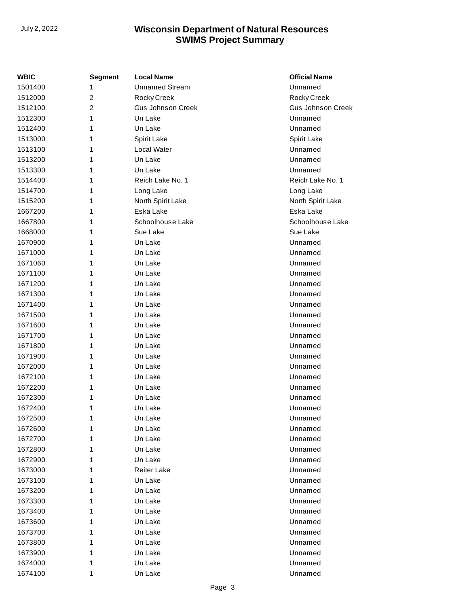| WBIC    | Segment        | <b>Local Name</b>        | <b>Official Name</b>     |
|---------|----------------|--------------------------|--------------------------|
| 1501400 | 1              | <b>Unnamed Stream</b>    | Unnamed                  |
| 1512000 | $\overline{2}$ | Rocky Creek              | Rocky Creek              |
| 1512100 | $\overline{2}$ | <b>Gus Johnson Creek</b> | <b>Gus Johnson Creek</b> |
| 1512300 | 1              | Un Lake                  | Unnamed                  |
| 1512400 | 1              | Un Lake                  | Unnamed                  |
| 1513000 | 1              | Spirit Lake              | Spirit Lake              |
| 1513100 | 1              | Local Water              | Unnamed                  |
| 1513200 | 1              | Un Lake                  | Unnamed                  |
| 1513300 | 1              | Un Lake                  | Unnamed                  |
| 1514400 | 1              | Reich Lake No. 1         | Reich Lake No. 1         |
| 1514700 | 1              | Long Lake                | Long Lake                |
| 1515200 | 1              | North Spirit Lake        | North Spirit Lake        |
| 1667200 | 1              | Eska Lake                | Eska Lake                |
| 1667800 | 1              | Schoolhouse Lake         | Schoolhouse Lake         |
| 1668000 | 1              | Sue Lake                 | Sue Lake                 |
| 1670900 | 1              | Un Lake                  | Unnamed                  |
| 1671000 | 1              | Un Lake                  | Unnamed                  |
| 1671060 | 1              | Un Lake                  | Unnamed                  |
| 1671100 | 1              | Un Lake                  | Unnamed                  |
| 1671200 | 1              | Un Lake                  | Unnamed                  |
| 1671300 | 1              | Un Lake                  | Unnamed                  |
| 1671400 | 1              | Un Lake                  | Unnamed                  |
| 1671500 | 1              | Un Lake                  | Unnamed                  |
| 1671600 | 1              | Un Lake                  | Unnamed                  |
| 1671700 | 1              | Un Lake                  | Unnamed                  |
| 1671800 | 1              | Un Lake                  | Unnamed                  |
| 1671900 | 1              | Un Lake                  | Unnamed                  |
| 1672000 | 1              | Un Lake                  | Unnamed                  |
| 1672100 | 1              | Un Lake                  | Unnamed                  |
| 1672200 | 1              | Un Lake                  | Unnamed                  |
| 1672300 | 1              | Un Lake                  | Unnamed                  |
| 1672400 | 1              | Un Lake                  | Unnamed                  |
| 1672500 | 1              | Un Lake                  | Unnamed                  |
| 1672600 | 1              | Un Lake                  | Unnamed                  |
| 1672700 | 1              | Un Lake                  | Unnamed                  |
| 1672800 | 1              | Un Lake                  | Unnamed                  |
| 1672900 | 1              | Un Lake                  | Unnamed                  |
| 1673000 | 1              | <b>Reiter Lake</b>       | Unnamed                  |
| 1673100 | 1              | Un Lake                  | Unnamed                  |
| 1673200 | 1              | Un Lake                  | Unnamed                  |
| 1673300 | 1              | Un Lake                  | Unnamed                  |
| 1673400 | 1              | Un Lake                  | Unnamed                  |
| 1673600 | 1              | Un Lake                  | Unnamed                  |
| 1673700 | 1              | Un Lake                  | Unnamed                  |
| 1673800 | 1              | Un Lake                  | Unnamed                  |
| 1673900 | 1              | Un Lake                  | Unnamed                  |
| 1674000 | 1              | Un Lake                  | Unnamed                  |
| 1674100 | 1              | Un Lake                  | Unnamed                  |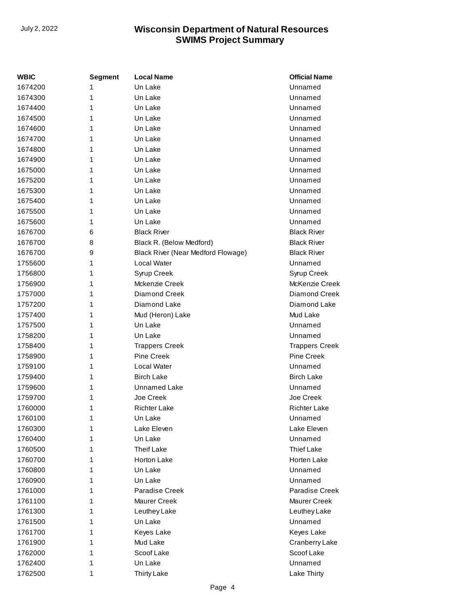| WBIC    | <b>Segment</b> | <b>Local Name</b>                  | <b>Official Name</b>  |
|---------|----------------|------------------------------------|-----------------------|
| 1674200 | 1              | Un Lake                            | Unnamed               |
| 1674300 | 1              | Un Lake                            | Unnamed               |
| 1674400 | 1              | Un Lake                            | Unnamed               |
| 1674500 | 1              | Un Lake                            | Unnamed               |
| 1674600 | 1              | Un Lake                            | Unnamed               |
| 1674700 | 1              | Un Lake                            | Unnamed               |
| 1674800 | 1              | Un Lake                            | Unnamed               |
| 1674900 | 1              | Un Lake                            | Unnamed               |
| 1675000 | 1              | Un Lake                            | Unnamed               |
| 1675200 | 1              | Un Lake                            | Unnamed               |
| 1675300 | 1              | Un Lake                            | Unnamed               |
| 1675400 | 1              | Un Lake                            | Unnamed               |
| 1675500 | 1              | Un Lake                            | Unnamed               |
| 1675600 | 1              | Un Lake                            | Unnamed               |
| 1676700 | 6              | <b>Black River</b>                 | <b>Black River</b>    |
| 1676700 | 8              | Black R. (Below Medford)           | <b>Black River</b>    |
| 1676700 | 9              | Black River (Near Medford Flowage) | <b>Black River</b>    |
| 1755600 | 1              | Local Water                        | Unnamed               |
| 1756800 | 1              | Syrup Creek                        | Syrup Creek           |
| 1756900 | 1              | Mckenzie Creek                     | McKenzie Creek        |
| 1757000 | 1              | Diamond Creek                      | Diamond Creek         |
| 1757200 | 1              | Diamond Lake                       | Diamond Lake          |
| 1757400 | 1              | Mud (Heron) Lake                   | Mud Lake              |
| 1757500 | 1              | Un Lake                            | Unnamed               |
| 1758200 | 1              | Un Lake                            | Unnamed               |
| 1758400 | 1              | <b>Trappers Creek</b>              | <b>Trappers Creek</b> |
| 1758900 | 1              | <b>Pine Creek</b>                  | <b>Pine Creek</b>     |
| 1759100 | 1              | Local Water                        | Unnamed               |
| 1759400 | 1              | <b>Birch Lake</b>                  | <b>Birch Lake</b>     |
| 1759600 | 1              | Unnamed Lake                       | Unnamed               |
| 1759700 | 1              | Joe Creek                          | Joe Creek             |
| 1760000 | 1              | <b>Richter Lake</b>                | <b>Richter Lake</b>   |
| 1760100 | 1              | Un Lake                            | Unnamed               |
| 1760300 | 1              | Lake Eleven                        | Lake Eleven           |
| 1760400 | 1              | Un Lake                            | Unnamed               |
| 1760500 | 1              | <b>Theif Lake</b>                  | <b>Thief Lake</b>     |
| 1760700 | 1              | Horton Lake                        | Horten Lake           |
| 1760800 | 1              | Un Lake                            | Unnamed               |
| 1760900 | 1              | Un Lake                            | Unnamed               |
| 1761000 | 1              | Paradise Creek                     | Paradise Creek        |
| 1761100 | 1              | Maurer Creek                       | Maurer Creek          |
| 1761300 | 1              | Leuthey Lake                       | Leuthey Lake          |
| 1761500 | 1              | Un Lake                            | Unnamed               |
| 1761700 | 1              | Keyes Lake                         | Keyes Lake            |
| 1761900 | 1              | Mud Lake                           | Cranberry Lake        |
| 1762000 | 1              | Scoof Lake                         | Scoof Lake            |
| 1762400 | 1              | Un Lake                            | Unnamed               |
| 1762500 | 1              | Thirty Lake                        | Lake Thirty           |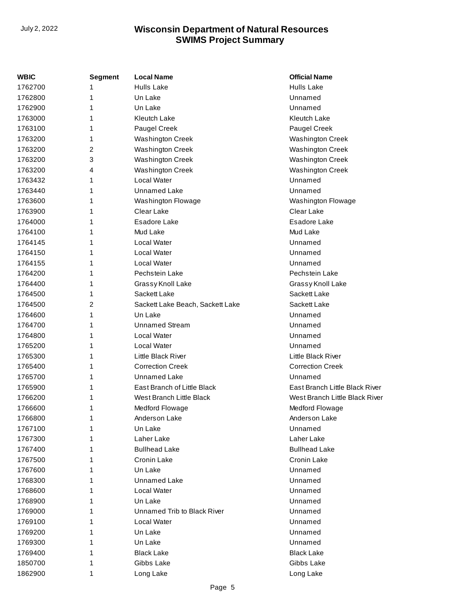| WBIC    | <b>Segment</b> | <b>Local Name</b>                | <b>Official Name</b>           |
|---------|----------------|----------------------------------|--------------------------------|
| 1762700 | 1              | <b>Hulls Lake</b>                | <b>Hulls Lake</b>              |
| 1762800 | 1              | Un Lake                          | Unnamed                        |
| 1762900 | 1              | Un Lake                          | Unnamed                        |
| 1763000 | 1              | Kleutch Lake                     | Kleutch Lake                   |
| 1763100 | 1              | Paugel Creek                     | Paugel Creek                   |
| 1763200 | 1              | <b>Washington Creek</b>          | Washington Creek               |
| 1763200 | 2              | <b>Washington Creek</b>          | <b>Washington Creek</b>        |
| 1763200 | 3              | Washington Creek                 | <b>Washington Creek</b>        |
| 1763200 | 4              | <b>Washington Creek</b>          | <b>Washington Creek</b>        |
| 1763432 | 1              | <b>Local Water</b>               | Unnamed                        |
| 1763440 | 1              | Unnamed Lake                     | Unnamed                        |
| 1763600 | 1              | Washington Flowage               | Washington Flowage             |
| 1763900 | 1              | Clear Lake                       | Clear Lake                     |
| 1764000 | 1              | Esadore Lake                     | Esadore Lake                   |
| 1764100 | 1              | Mud Lake                         | Mud Lake                       |
| 1764145 | 1              | Local Water                      | Unnamed                        |
| 1764150 | 1              | <b>Local Water</b>               | Unnamed                        |
| 1764155 | 1              | <b>Local Water</b>               | Unnamed                        |
| 1764200 | 1              | Pechstein Lake                   | Pechstein Lake                 |
| 1764400 | 1              | Grassy Knoll Lake                | Grassy Knoll Lake              |
| 1764500 | 1              | Sackett Lake                     | Sackett Lake                   |
| 1764500 | 2              | Sackett Lake Beach, Sackett Lake | Sackett Lake                   |
| 1764600 | 1              | Un Lake                          | Unnamed                        |
| 1764700 | 1              | Unnamed Stream                   | Unnamed                        |
| 1764800 | 1              | Local Water                      | Unnamed                        |
| 1765200 | 1              | <b>Local Water</b>               | Unnamed                        |
| 1765300 | 1              | Little Black River               | Little Black River             |
| 1765400 | 1              | <b>Correction Creek</b>          | <b>Correction Creek</b>        |
| 1765700 | 1              | Unnamed Lake                     | Unnamed                        |
| 1765900 | 1              | East Branch of Little Black      | East Branch Little Black River |
| 1766200 | 1              | West Branch Little Black         | West Branch Little Black River |
| 1766600 | 1              | Medford Flowage                  | Medford Flowage                |
| 1766800 | 1              | Anderson Lake                    | Anderson Lake                  |
| 1767100 | 1              | Un Lake                          | Unnamed                        |
| 1767300 | 1              | Laher Lake                       | Laher Lake                     |
| 1767400 | 1              | <b>Bullhead Lake</b>             | <b>Bullhead Lake</b>           |
| 1767500 | 1              | Cronin Lake                      | Cronin Lake                    |
| 1767600 | 1              | Un Lake                          | Unnamed                        |
| 1768300 | 1              | Unnamed Lake                     | Unnamed                        |
| 1768600 | 1              | Local Water                      | Unnamed                        |
| 1768900 | 1              | Un Lake                          | Unnamed                        |
| 1769000 | 1              | Unnamed Trib to Black River      | Unnamed                        |
| 1769100 | 1              | <b>Local Water</b>               | Unnamed                        |
| 1769200 | 1              | Un Lake                          | Unnamed                        |
| 1769300 | 1              | Un Lake                          | Unnamed                        |
| 1769400 | 1              | <b>Black Lake</b>                | <b>Black Lake</b>              |
| 1850700 | 1              | Gibbs Lake                       | Gibbs Lake                     |
| 1862900 | 1              | Long Lake                        | Long Lake                      |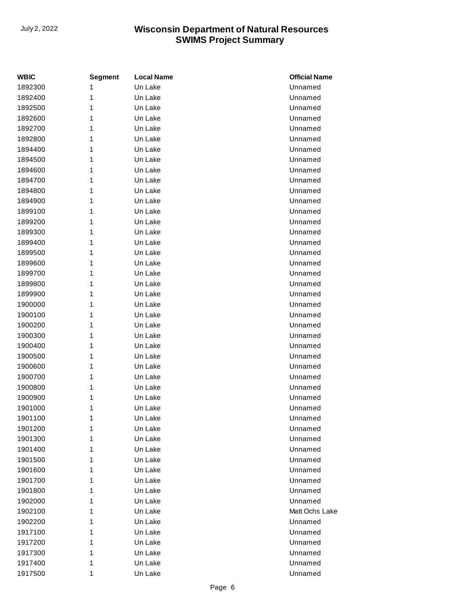| WBIC    | <b>Segment</b> | <b>Local Name</b> | <b>Official Name</b> |
|---------|----------------|-------------------|----------------------|
| 1892300 | 1              | Un Lake           | Unnamed              |
| 1892400 | 1              | Un Lake           | Unnamed              |
| 1892500 | 1              | Un Lake           | Unnamed              |
| 1892600 | 1              | Un Lake           | Unnamed              |
| 1892700 | 1              | Un Lake           | Unnamed              |
| 1892800 | 1              | Un Lake           | Unnamed              |
| 1894400 | 1              | Un Lake           | Unnamed              |
| 1894500 | 1              | Un Lake           | Unnamed              |
| 1894600 | 1              | Un Lake           | Unnamed              |
| 1894700 | 1              | Un Lake           | Unnamed              |
| 1894800 | 1              | Un Lake           | Unnamed              |
| 1894900 | 1              | Un Lake           | Unnamed              |
| 1899100 | 1              | Un Lake           | Unnamed              |
| 1899200 | 1              | Un Lake           | Unnamed              |
| 1899300 | 1              | Un Lake           | Unnamed              |
| 1899400 | 1              | Un Lake           | Unnamed              |
| 1899500 | 1              | Un Lake           | Unnamed              |
| 1899600 | 1              | Un Lake           | Unnamed              |
| 1899700 | 1              | Un Lake           | Unnamed              |
| 1899800 | 1              | Un Lake           | Unnamed              |
| 1899900 | 1              | Un Lake           | Unnamed              |
| 1900000 | 1              | Un Lake           | Unnamed              |
| 1900100 | 1              | Un Lake           | Unnamed              |
| 1900200 | 1              | Un Lake           | Unnamed              |
| 1900300 | 1              | Un Lake           | Unnamed              |
| 1900400 | 1              | Un Lake           | Unnamed              |
| 1900500 | 1              | Un Lake           | Unnamed              |
| 1900600 | 1              | Un Lake           | Unnamed              |
| 1900700 | 1              | Un Lake           | Unnamed              |
| 1900800 | 1              | Un Lake           | Unnamed              |
| 1900900 | 1              | Un Lake           | Unnamed              |
| 1901000 | 1              | Un Lake           | Unnamed              |
| 1901100 | 1              | Un Lake           | Unnamed              |
| 1901200 | 1              | Un Lake           | Unnamed              |
| 1901300 | 1              | Un Lake           | Unnamed              |
| 1901400 | 1              | Un Lake           | Unnamed              |
| 1901500 | 1              | Un Lake           | Unnamed              |
| 1901600 | 1              | Un Lake           | Unnamed              |
| 1901700 | 1              | Un Lake           | Unnamed              |
| 1901800 | 1              | Un Lake           | Unnamed              |
| 1902000 | 1              | Un Lake           | Unnamed              |
| 1902100 | 1              | Un Lake           | Matt Ochs Lake       |
| 1902200 | 1              | Un Lake           | Unnamed              |
| 1917100 | 1              | Un Lake           | Unnamed              |
| 1917200 | 1              | Un Lake           | Unnamed              |
| 1917300 | 1              | Un Lake           | Unnamed              |
| 1917400 | 1              | Un Lake           | Unnamed              |
| 1917500 | 1              | Un Lake           | Unnamed              |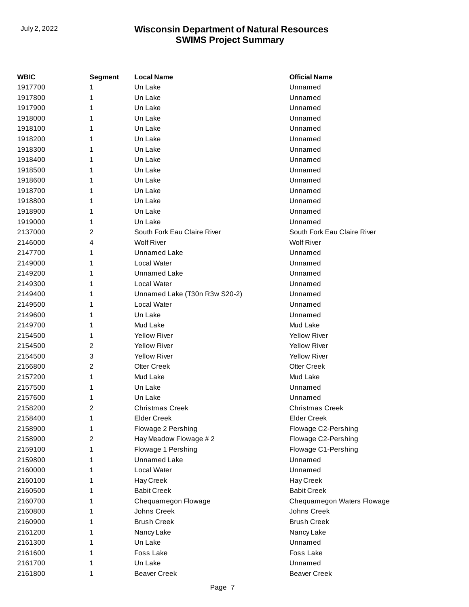| WBIC    | <b>Segment</b> | <b>Local Name</b>             | <b>Official Name</b>        |
|---------|----------------|-------------------------------|-----------------------------|
| 1917700 |                | Un Lake                       | Unnamed                     |
| 1917800 | 1              | Un Lake                       | Unnamed                     |
| 1917900 | 1              | Un Lake                       | Unnamed                     |
| 1918000 | 1              | Un Lake                       | Unnamed                     |
| 1918100 | 1              | Un Lake                       | Unnamed                     |
| 1918200 | 1              | Un Lake                       | Unnamed                     |
| 1918300 |                | Un Lake                       | Unnamed                     |
| 1918400 | 1              | Un Lake                       | Unnamed                     |
| 1918500 | 1              | Un Lake                       | Unnamed                     |
| 1918600 | 1              | Un Lake                       | Unnamed                     |
| 1918700 |                | Un Lake                       | Unnamed                     |
| 1918800 | 1              | Un Lake                       | Unnamed                     |
| 1918900 | 1              | Un Lake                       | Unnamed                     |
| 1919000 | 1              | Un Lake                       | Unnamed                     |
| 2137000 | 2              | South Fork Eau Claire River   | South Fork Eau Claire River |
| 2146000 | 4              | <b>Wolf River</b>             | <b>Wolf River</b>           |
| 2147700 | 1              | <b>Unnamed Lake</b>           | Unnamed                     |
| 2149000 | 1              | Local Water                   | Unnamed                     |
| 2149200 |                | <b>Unnamed Lake</b>           | Unnamed                     |
| 2149300 | 1              | Local Water                   | Unnamed                     |
| 2149400 | 1              | Unnamed Lake (T30n R3w S20-2) | Unnamed                     |
| 2149500 |                | Local Water                   | Unnamed                     |
| 2149600 |                | Un Lake                       | Unnamed                     |
| 2149700 | 1              | Mud Lake                      | Mud Lake                    |
| 2154500 | 1              | <b>Yellow River</b>           | <b>Yellow River</b>         |
| 2154500 | 2              | <b>Yellow River</b>           | <b>Yellow River</b>         |
| 2154500 | 3              | <b>Yellow River</b>           | <b>Yellow River</b>         |
| 2156800 | 2              | <b>Otter Creek</b>            | <b>Otter Creek</b>          |
| 2157200 | 1              | Mud Lake                      | Mud Lake                    |
| 2157500 | 1              | Un Lake                       | Unnamed                     |
| 2157600 | 1              | Un Lake                       | Unnamed                     |
| 2158200 | 2              | <b>Christmas Creek</b>        | <b>Christmas Creek</b>      |
| 2158400 | 1              | <b>Elder Creek</b>            | <b>Elder Creek</b>          |
| 2158900 | 1              | Flowage 2 Pershing            | Flowage C2-Pershing         |
| 2158900 | 2              | Hay Meadow Flowage #2         | Flowage C2-Pershing         |
| 2159100 | 1              | Flowage 1 Pershing            | Flowage C1-Pershing         |
| 2159800 | 1              | <b>Unnamed Lake</b>           | Unnamed                     |
| 2160000 | 1              | Local Water                   | Unnamed                     |
| 2160100 | 1              | Hay Creek                     | Hay Creek                   |
| 2160500 | 1              | <b>Babit Creek</b>            | <b>Babit Creek</b>          |
| 2160700 | 1              | Chequamegon Flowage           | Chequamegon Waters Flowage  |
| 2160800 | 1              | Johns Creek                   | Johns Creek                 |
| 2160900 | 1              | <b>Brush Creek</b>            | <b>Brush Creek</b>          |
| 2161200 | 1              | Nancy Lake                    | Nancy Lake                  |
| 2161300 | 1              | Un Lake                       | Unnamed                     |
| 2161600 | 1              | Foss Lake                     | <b>Foss Lake</b>            |
| 2161700 | 1              | Un Lake                       | Unnamed                     |
| 2161800 | 1              | <b>Beaver Creek</b>           | <b>Beaver Creek</b>         |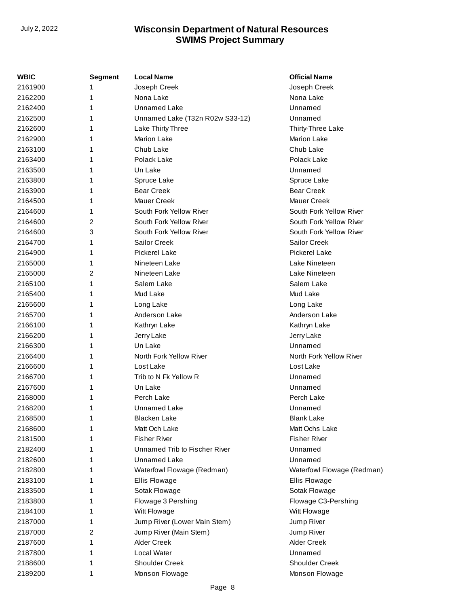| <b>WBIC</b> | Segment | <b>Local Name</b>               | <b>Official Name</b>       |
|-------------|---------|---------------------------------|----------------------------|
| 2161900     |         | Joseph Creek                    | Joseph Creek               |
| 2162200     | 1       | Nona Lake                       | Nona Lake                  |
| 2162400     | 1       | <b>Unnamed Lake</b>             | Unnamed                    |
| 2162500     | 1       | Unnamed Lake (T32n R02w S33-12) | Unnamed                    |
| 2162600     | 1       | Lake Thirty Three               | Thirty-Three Lake          |
| 2162900     | 1       | Marion Lake                     | <b>Marion Lake</b>         |
| 2163100     | 1       | Chub Lake                       | Chub Lake                  |
| 2163400     | 1       | Polack Lake                     | Polack Lake                |
| 2163500     | 1       | Un Lake                         | Unnamed                    |
| 2163800     | 1       | Spruce Lake                     | Spruce Lake                |
| 2163900     | 1       | <b>Bear Creek</b>               | <b>Bear Creek</b>          |
| 2164500     | 1       | <b>Mauer Creek</b>              | <b>Mauer Creek</b>         |
| 2164600     | 1       | South Fork Yellow River         | South Fork Yellow River    |
| 2164600     | 2       | South Fork Yellow River         | South Fork Yellow River    |
| 2164600     | 3       | South Fork Yellow River         | South Fork Yellow River    |
| 2164700     | 1       | Sailor Creek                    | Sailor Creek               |
| 2164900     | 1       | <b>Pickerel Lake</b>            | <b>Pickerel Lake</b>       |
| 2165000     | 1       | Nineteen Lake                   | Lake Nineteen              |
| 2165000     | 2       | Nineteen Lake                   | Lake Nineteen              |
| 2165100     | 1       | Salem Lake                      | Salem Lake                 |
| 2165400     | 1       | Mud Lake                        | Mud Lake                   |
| 2165600     | 1       | Long Lake                       | Long Lake                  |
| 2165700     | 1       | Anderson Lake                   | Anderson Lake              |
| 2166100     | 1       | Kathryn Lake                    | Kathryn Lake               |
| 2166200     | 1       | Jerry Lake                      | Jerry Lake                 |
| 2166300     | 1       | Un Lake                         | Unnamed                    |
| 2166400     | 1       | North Fork Yellow River         | North Fork Yellow River    |
| 2166600     | 1       | Lost Lake                       | Lost Lake                  |
| 2166700     | 1       | Trib to N Fk Yellow R           | Unnamed                    |
| 2167600     | 1       | Un Lake                         | Unnamed                    |
| 2168000     | 1       | Perch Lake                      | Perch Lake                 |
| 2168200     | 1       | <b>Unnamed Lake</b>             | Unnamed                    |
| 2168500     | 1       | <b>Blacken Lake</b>             | <b>Blank Lake</b>          |
| 2168600     | 1       | Matt Och Lake                   | Matt Ochs Lake             |
| 2181500     |         | <b>Fisher River</b>             | <b>Fisher River</b>        |
| 2182400     | 1       | Unnamed Trib to Fischer River   | Unnamed                    |
| 2182600     | 1       | Unnamed Lake                    | Unnamed                    |
| 2182800     | 1       | Waterfowl Flowage (Redman)      | Waterfowl Flowage (Redman) |
| 2183100     | 1       | <b>Ellis Flowage</b>            | <b>Ellis Flowage</b>       |
| 2183500     | 1       | Sotak Flowage                   | Sotak Flowage              |
| 2183800     | 1       | Flowage 3 Pershing              | Flowage C3-Pershing        |
| 2184100     | 1       | Witt Flowage                    | Witt Flowage               |
| 2187000     | 1       | Jump River (Lower Main Stem)    | Jump River                 |
| 2187000     | 2       | Jump River (Main Stem)          | Jump River                 |
| 2187600     | 1       | <b>Alder Creek</b>              | <b>Alder Creek</b>         |
| 2187800     | 1       | Local Water                     | Unnamed                    |
| 2188600     | 1       | <b>Shoulder Creek</b>           | <b>Shoulder Creek</b>      |
| 2189200     | 1       | Monson Flowage                  | Monson Flowage             |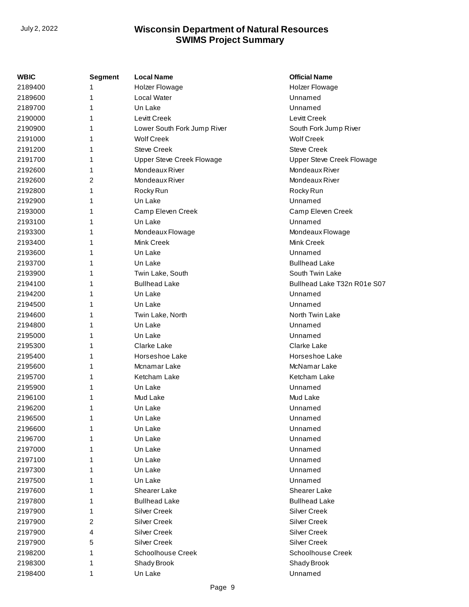| WBIC    | <b>Segment</b> | <b>Local Name</b>           | <b>Official Name</b>        |
|---------|----------------|-----------------------------|-----------------------------|
| 2189400 |                | <b>Holzer Flowage</b>       | <b>Holzer Flowage</b>       |
| 2189600 | 1              | <b>Local Water</b>          | Unnamed                     |
| 2189700 | 1              | Un Lake                     | Unnamed                     |
| 2190000 | 1              | Levitt Creek                | Levitt Creek                |
| 2190900 | 1              | Lower South Fork Jump River | South Fork Jump River       |
| 2191000 | 1              | <b>Wolf Creek</b>           | <b>Wolf Creek</b>           |
| 2191200 | 1              | <b>Steve Creek</b>          | <b>Steve Creek</b>          |
| 2191700 | 1              | Upper Steve Creek Flowage   | Upper Steve Creek Flowage   |
| 2192600 | 1              | Mondeaux River              | Mondeaux River              |
| 2192600 | 2              | <b>Mondeaux River</b>       | Mondeaux River              |
| 2192800 | 1              | Rocky Run                   | Rocky Run                   |
| 2192900 | 1              | Un Lake                     | Unnamed                     |
| 2193000 | 1              | Camp Eleven Creek           | Camp Eleven Creek           |
| 2193100 | 1              | Un Lake                     | Unnamed                     |
| 2193300 | 1              | Mondeaux Flowage            | Mondeaux Flowage            |
| 2193400 | 1              | Mink Creek                  | Mink Creek                  |
| 2193600 | 1              | Un Lake                     | Unnamed                     |
| 2193700 | 1              | Un Lake                     | <b>Bullhead Lake</b>        |
| 2193900 | 1              | Twin Lake, South            | South Twin Lake             |
| 2194100 | 1              | <b>Bullhead Lake</b>        | Bullhead Lake T32n R01e S07 |
| 2194200 | 1              | Un Lake                     | Unnamed                     |
| 2194500 | 1              | Un Lake                     | Unnamed                     |
| 2194600 | 1              | Twin Lake, North            | North Twin Lake             |
| 2194800 | 1              | Un Lake                     | Unnamed                     |
| 2195000 | 1              | Un Lake                     | Unnamed                     |
| 2195300 | 1              | Clarke Lake                 | Clarke Lake                 |
| 2195400 | 1              | Horseshoe Lake              | Horseshoe Lake              |
| 2195600 | 1              | Mcnamar Lake                | McNamar Lake                |
| 2195700 | 1              | Ketcham Lake                | Ketcham Lake                |
| 2195900 | 1              | Un Lake                     | Unnamed                     |
| 2196100 | 1              | Mud Lake                    | Mud Lake                    |
| 2196200 | 1              | Un Lake                     | Unnamed                     |
| 2196500 | 1              | Un Lake                     | Unnamed                     |
| 2196600 | 1              | Un Lake                     | Unnamed                     |
| 2196700 |                | Un Lake                     | Unnamed                     |
| 2197000 | 1              | Un Lake                     | Unnamed                     |
| 2197100 | 1              | Un Lake                     | Unnamed                     |
| 2197300 | 1              | Un Lake                     | Unnamed                     |
| 2197500 | 1              | Un Lake                     | Unnamed                     |
| 2197600 | 1              | Shearer Lake                | Shearer Lake                |
| 2197800 | 1              | <b>Bullhead Lake</b>        | <b>Bullhead Lake</b>        |
| 2197900 | 1              | <b>Silver Creek</b>         | <b>Silver Creek</b>         |
| 2197900 | 2              | <b>Silver Creek</b>         | <b>Silver Creek</b>         |
| 2197900 | 4              | <b>Silver Creek</b>         | <b>Silver Creek</b>         |
| 2197900 | 5              | Silver Creek                | <b>Silver Creek</b>         |
| 2198200 | 1              | <b>Schoolhouse Creek</b>    | <b>Schoolhouse Creek</b>    |
| 2198300 | 1              | Shady Brook                 | Shady Brook                 |
| 2198400 | 1              | Un Lake                     | Unnamed                     |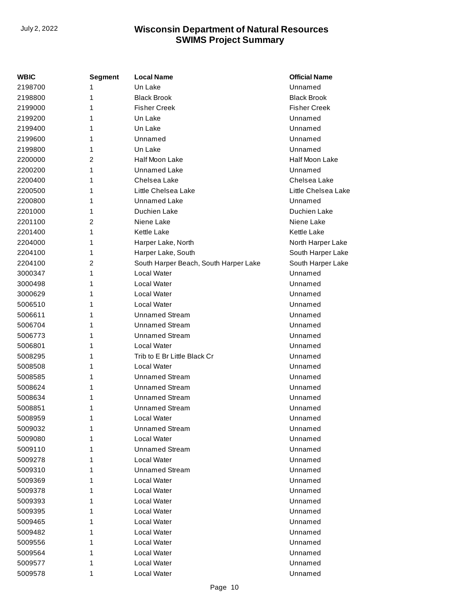| <b>WBIC</b> | <b>Segment</b> | <b>Local Name</b>                     | <b>Official Name</b> |
|-------------|----------------|---------------------------------------|----------------------|
| 2198700     | 1              | Un Lake                               | Unnamed              |
| 2198800     | 1              | <b>Black Brook</b>                    | <b>Black Brook</b>   |
| 2199000     | 1              | <b>Fisher Creek</b>                   | <b>Fisher Creek</b>  |
| 2199200     | 1              | Un Lake                               | Unnamed              |
| 2199400     | 1              | Un Lake                               | Unnamed              |
| 2199600     | 1              | Unnamed                               | Unnamed              |
| 2199800     | 1              | Un Lake                               | Unnamed              |
| 2200000     | 2              | Half Moon Lake                        | Half Moon Lake       |
| 2200200     | 1              | Unnamed Lake                          | Unnamed              |
| 2200400     | 1              | Chelsea Lake                          | Chelsea Lake         |
| 2200500     | 1              | Little Chelsea Lake                   | Little Chelsea Lake  |
| 2200800     | 1              | Unnamed Lake                          | Unnamed              |
| 2201000     | 1              | Duchien Lake                          | Duchien Lake         |
| 2201100     | 2              | Niene Lake                            | Niene Lake           |
| 2201400     | 1              | Kettle Lake                           | <b>Kettle Lake</b>   |
| 2204000     | 1              | Harper Lake, North                    | North Harper Lake    |
| 2204100     | 1              | Harper Lake, South                    | South Harper Lake    |
| 2204100     | 2              | South Harper Beach, South Harper Lake | South Harper Lake    |
| 3000347     | 1              | Local Water                           | Unnamed              |
| 3000498     | 1              | <b>Local Water</b>                    | Unnamed              |
| 3000629     | 1              | <b>Local Water</b>                    | Unnamed              |
| 5006510     | 1              | Local Water                           | Unnamed              |
| 5006611     | 1              | <b>Unnamed Stream</b>                 | Unnamed              |
| 5006704     | 1              | <b>Unnamed Stream</b>                 | Unnamed              |
| 5006773     | 1              | <b>Unnamed Stream</b>                 | Unnamed              |
| 5006801     | 1              | Local Water                           | Unnamed              |
| 5008295     | 1              | Trib to E Br Little Black Cr          | Unnamed              |
| 5008508     | 1              | Local Water                           | Unnamed              |
| 5008585     | 1              | <b>Unnamed Stream</b>                 | Unnamed              |
| 5008624     | 1              | <b>Unnamed Stream</b>                 | Unnamed              |
| 5008634     | 1              | <b>Unnamed Stream</b>                 | Unnamed              |
| 5008851     | 1              | <b>Unnamed Stream</b>                 | Unnamed              |
| 5008959     | 1              | Local Water                           | Unnamed              |
| 5009032     | 1              | Unnamed Stream                        | Unnamed              |
| 5009080     | 1              | Local Water                           | Unnamed              |
| 5009110     | 1              | Unnamed Stream                        | Unnamed              |
| 5009278     | 1              | Local Water                           | Unnamed              |
| 5009310     | 1              | Unnamed Stream                        | Unnamed              |
| 5009369     | 1              | Local Water                           | Unnamed              |
| 5009378     | 1              | Local Water                           | Unnamed              |
| 5009393     | 1              | Local Water                           | Unnamed              |
| 5009395     | 1              | Local Water                           | Unnamed              |
| 5009465     | 1              | Local Water                           | Unnamed              |
| 5009482     | 1              | Local Water                           | Unnamed              |
| 5009556     | 1              | Local Water                           | Unnamed              |
| 5009564     | 1              | Local Water                           | Unnamed              |
| 5009577     | 1              | Local Water                           | Unnamed              |
| 5009578     | 1              | Local Water                           | Unnamed              |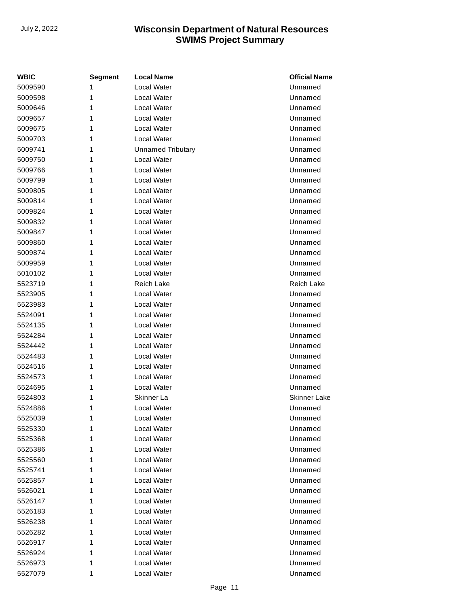| WBIC    | <b>Segment</b> | <b>Local Name</b>        | <b>Official Name</b> |
|---------|----------------|--------------------------|----------------------|
| 5009590 | 1              | Local Water              | Unnamed              |
| 5009598 | 1              | Local Water              | Unnamed              |
| 5009646 | 1              | Local Water              | Unnamed              |
| 5009657 | 1              | Local Water              | Unnamed              |
| 5009675 | 1              | Local Water              | Unnamed              |
| 5009703 | 1              | Local Water              | Unnamed              |
| 5009741 | 1              | <b>Unnamed Tributary</b> | Unnamed              |
| 5009750 | 1              | Local Water              | Unnamed              |
| 5009766 | 1              | Local Water              | Unnamed              |
| 5009799 | 1              | Local Water              | Unnamed              |
| 5009805 | 1              | Local Water              | Unnamed              |
| 5009814 | 1              | Local Water              | Unnamed              |
| 5009824 | 1              | Local Water              | Unnamed              |
| 5009832 | 1              | Local Water              | Unnamed              |
| 5009847 | 1              | Local Water              | Unnamed              |
| 5009860 | 1              | Local Water              | Unnamed              |
| 5009874 | 1              | Local Water              | Unnamed              |
| 5009959 | 1              | Local Water              | Unnamed              |
| 5010102 | 1              | Local Water              | Unnamed              |
| 5523719 | 1              | <b>Reich Lake</b>        | <b>Reich Lake</b>    |
| 5523905 | 1              | Local Water              | Unnamed              |
| 5523983 | 1              | Local Water              | Unnamed              |
| 5524091 | 1              | Local Water              | Unnamed              |
| 5524135 | 1              | Local Water              | Unnamed              |
| 5524284 | 1              | Local Water              | Unnamed              |
| 5524442 | 1              | Local Water              | Unnamed              |
| 5524483 | 1              | Local Water              | Unnamed              |
| 5524516 | 1              | Local Water              | Unnamed              |
| 5524573 | 1              | Local Water              | Unnamed              |
| 5524695 | 1              | Local Water              | Unnamed              |
| 5524803 | 1              | Skinner La               | <b>Skinner Lake</b>  |
| 5524886 | 1              | Local Water              | Unnamed              |
| 5525039 | 1              | Local Water              | Unnamed              |
| 5525330 | 1              | <b>Local Water</b>       | Unnamed              |
| 5525368 | 1              | Local Water              | Unnamed              |
| 5525386 | 1              | Local Water              | Unnamed              |
| 5525560 | 1              | Local Water              | Unnamed              |
| 5525741 | 1              | Local Water              | Unnamed              |
| 5525857 | 1              | Local Water              | Unnamed              |
| 5526021 | 1              | Local Water              | Unnamed              |
| 5526147 | 1              | Local Water              | Unnamed              |
| 5526183 | 1              | Local Water              | Unnamed              |
| 5526238 | 1              | Local Water              | Unnamed              |
| 5526282 | 1              | Local Water              | Unnamed              |
| 5526917 | 1              | Local Water              | Unnamed              |
| 5526924 | 1              | Local Water              | Unnamed              |
| 5526973 | 1              | Local Water              | Unnamed              |
| 5527079 | 1              | Local Water              | Unnamed              |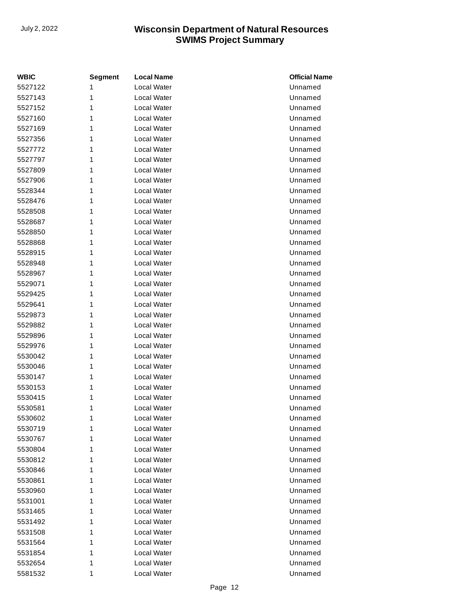| <b>WBIC</b> | <b>Segment</b> | <b>Local Name</b>  | <b>Official Name</b> |
|-------------|----------------|--------------------|----------------------|
| 5527122     | 1              | <b>Local Water</b> | Unnamed              |
| 5527143     | 1              | <b>Local Water</b> | Unnamed              |
| 5527152     | 1              | Local Water        | Unnamed              |
| 5527160     | 1              | Local Water        | Unnamed              |
| 5527169     | 1              | Local Water        | Unnamed              |
| 5527356     | 1              | <b>Local Water</b> | Unnamed              |
| 5527772     | 1              | Local Water        | Unnamed              |
| 5527797     | 1              | <b>Local Water</b> | Unnamed              |
| 5527809     | 1              | Local Water        | Unnamed              |
| 5527906     | 1              | <b>Local Water</b> | Unnamed              |
| 5528344     | 1              | Local Water        | Unnamed              |
| 5528476     | 1              | Local Water        | Unnamed              |
| 5528508     | 1              | Local Water        | Unnamed              |
| 5528687     | 1              | <b>Local Water</b> | Unnamed              |
| 5528850     | 1              | Local Water        | Unnamed              |
| 5528868     | 1              | <b>Local Water</b> | Unnamed              |
| 5528915     | 1              | Local Water        | Unnamed              |
| 5528948     | 1              | <b>Local Water</b> | Unnamed              |
| 5528967     | 1              | Local Water        | Unnamed              |
| 5529071     | 1              | Local Water        | Unnamed              |
| 5529425     | 1              | Local Water        | Unnamed              |
| 5529641     | 1              | <b>Local Water</b> | Unnamed              |
| 5529873     | 1              | Local Water        | Unnamed              |
| 5529882     | 1              | <b>Local Water</b> | Unnamed              |
| 5529896     | 1              | Local Water        | Unnamed              |
| 5529976     | 1              | <b>Local Water</b> | Unnamed              |
| 5530042     | 1              | Local Water        | Unnamed              |
| 5530046     | 1              | Local Water        | Unnamed              |
| 5530147     | 1              | Local Water        | Unnamed              |
| 5530153     | 1              | Local Water        | Unnamed              |
| 5530415     | 1              | Local Water        | Unnamed              |
| 5530581     | 1              | Local Water        | Unnamed              |
| 5530602     | 1              | Local Water        | Unnamed              |
| 5530719     | 1              | <b>Local Water</b> | Unnamed              |
| 5530767     | 1              | Local Water        | Unnamed              |
| 5530804     | 1              | Local Water        | Unnamed              |
| 5530812     | 1              | Local Water        | Unnamed              |
| 5530846     | 1              | Local Water        | Unnamed              |
| 5530861     | 1              | Local Water        | Unnamed              |
| 5530960     | 1              | Local Water        | Unnamed              |
| 5531001     | 1              | Local Water        | Unnamed              |
| 5531465     | 1              | Local Water        | Unnamed              |
| 5531492     | 1              | Local Water        | Unnamed              |
| 5531508     | 1              | Local Water        | Unnamed              |
| 5531564     | 1              | Local Water        | Unnamed              |
| 5531854     | 1              | Local Water        | Unnamed              |
| 5532654     | 1              | Local Water        | Unnamed              |
| 5581532     | 1              | Local Water        | Unnamed              |